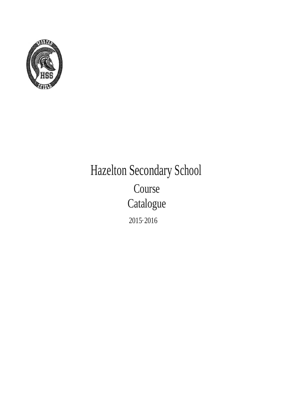

# Hazelton Secondary School Course Catalogue 2015·2016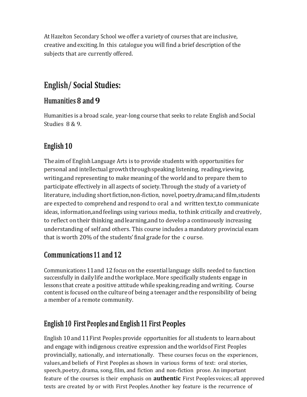At Hazelton Secondary School weoffer a varietyof courses that are inclusive, creative andexciting.In this catalogue you will find a brief description of the subjects that are currently offered.

## **English/ Social Studies:**

#### **Humanities 8 and 9**

Humanities is a broad scale, year-long course that seeks to relate English and Social Studies 8 & 9.

#### **English 10**

Theaimof EnglishLanguage Arts is to provide students with opportunities for personal and intellectual growth throughspeaking listening, reading,viewing, writing,and representing to make meaning of the worldandto prepare them to participate effectively in all aspects of society.Through the study of a varietyof literature, including short fiction, non-fiction, novel, poetry, drama; and film, students are expected to comprehend and respond to oral a nd written text,to communicate ideas, information, and feelings using various media, to think critically and creatively, to reflect on their thinking and learning, and to develop a continuously increasing understanding of self and others. This course includes a mandatory provincial exam that is worth 20% of the students'final grade for the c ourse.

#### **Communications11 and12**

Communications 11and 12 focus on the essentiallanguage skills needed to function successfully in dailylife andthe workplace. More specifically students engage in lessons that create a positive attitude while speaking,reading and writing. Course content is focused on the culture of being a teenager and the responsibility of being a member of a remote community.

#### **English 10 First Peoples and English 11 First Peoples**

English 10and11First Peoples provide opportunities for all students to learnabout and engage with indigenous creative expression andthe worldsof First Peoples provincially, nationally, and internationally. These courses focus on the experiences, values,and beliefs of First Peoples as shown in various forms of text: oral stories, speech,poetry, drama, song, film, and fiction and non-fiction prose. An important feature of the courses is their emphasis on **authentic** First Peoples voices; all approved texts are created by or with First Peoples.Another key feature is the recurrence of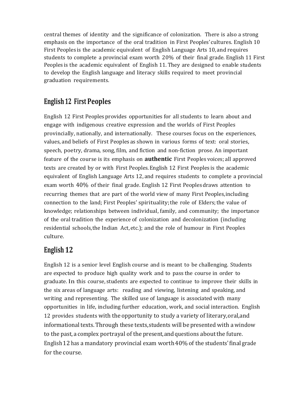central themes of identity and the significance of colonization. There is also a strong emphasis on the importance of the oral tradition in First Peoples'cultures. English 10 First Peoples is the academic equivalent of English Language Arts 10, and requires students to complete a provincial exam worth 20% of their final grade. English 11 First Peoples is the academic equivalent of English 11. They are designed to enable students to develop the English language and literacy skills required to meet provincial graduation requirements.

#### **English12 First Peoples**

English 12 First Peoples provides opportunities for all students to learn about and engage with indigenous creative expression and the worlds of First Peoples provincially, nationally, and internationally. These courses focus on the experiences, values, and beliefs of First Peoples as shown in various forms of text: oral stories, speech, poetry, drama, song, film, and fiction and non-fiction prose. An important feature of the course is its emphasis on **authentic** First Peoples voices; all approved texts are created by or with First Peoples.English 12 First Peoples is the academic equivalent of English Language Arts 12, and requires students to complete a provincial exam worth 40% of their final grade. English 12 First Peoplesdraws attention to recurring themes that are part of the world view of many First Peoples,including connection to the land; First Peoples' spirituality;the role of Elders;the value of knowledge; relationships between individual, family, and- community; the importance of the oral tradition the experience of colonization and decolonization (including residential schools,the Indian Act, etc.); and the role of humour in First Peoples culture.

#### **English 12**

English 12 is a senior level English course and is meant to be challenging. Students are expected to produce high quality work and to pass the course in order to graduate. In this course, students are expected to continue to improve their skills in the six areas of language arts: reading and viewing, listening and speaking, and writing and representing. The skilled use of language is associated with many opportunities in life, including further education, work, and social interaction. English 12 provides students with the opportunity to study a variety of literary,oral,and informational texts. Through these texts, students will be presented with a window to the past, a complex portrayal of the present,andquestions aboutthe future. English12 has a mandatory provincial exam worth40% of the students'final grade for the course.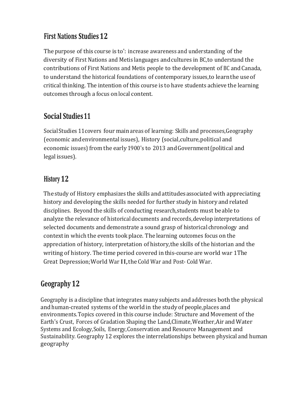#### **First Nations Studies12**

The purpose of this course is to': increase awareness and understanding of the diversity of First Nations and Metis languages andcultures in BC,to understand the contributions of First Nations and Metis people to the development of BC andCanada, to understand the historical foundations of contemporary issues,to learnthe useof critical thinking. The intention of this course is to have students achieve the learning outcomes through a focus onlocal content.

#### **Social Studies11**

SocialStudies 11covers four mainareas of learning: Skills and processes,Geography (economic andenvironmental issues), History (social,culture,political and economic issues) from the early1900's to 2013 andGovernment(political and legal issues).

#### **History 12**

The study of History emphasizes the skills andattitudesassociated with appreciating history and developing the skills needed for further study in history and related disciplines. Beyond the -skills of conducting research,students must be able to analyze the relevance of historical documents andrecords,develop interpretations of selected documents and demonstrate a sound grasp of historical chronology and contextin which the events tookplace. The learning outcomes focus on the appreciation of history, interpretation of history,the skills of the historian and the writing of history. The time period covered in this-course are world war 1The Great Depression;World War II,the Cold War and Post- Cold War.

#### **Geography 12**

Geography is a discipline that integrates many subjects andaddresses both the physical andhuman-created systems of the world in the studyof people,places and environments.Topics covered in this course include: Structure and Movement of the Earth's Crust, Forces of Gradation Shaping the Land,Climate,Weather,Air and Water Systems and Ecology, Soils, Energy, Conservation and Resource Management and Sustainability. Geography 12 explores the interrelationships between physical and human geography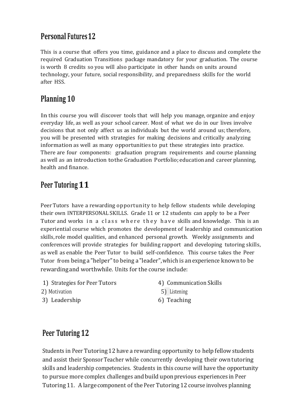#### **Personal Futures12**

This is a course that offers you time, guidance and a place to discuss and complete the required Graduation Transitions package mandatory for your graduation. The course is worth 8 credits so you will also participate in other hands on units around technology, your future, social responsibility, and preparedness skills for the world after HSS.

#### **Planning 10**

In this course you will discover tools that will help you manage, organize and enjoy everyday life, as well as your school career. Most of what we do in our lives involve decisions that not only affect us as individuals but the world around us; therefore, you will be presented with strategies for making decisions and critically analyzing information as well as many opportunities to put these strategies into practice. There are four components: graduation program requirements and course planning as well as an introduction to the Graduation Portfolio; education and career planning, health and finance.

## **Peer Tutoring11**

Peer Tutors have a rewarding opportunity to help fellow students while developing their own INTERPERSONAL SKILLS. Grade 11 or 12 students can apply to be a Peer Tutor and works in a class where they have skills and knowledge. This is an experiential course which promotes the development of leadership and communication skills, role model qualities, and enhanced personal growth. Weekly assignments and conferences will provide strategies for building rapport and developing tutoring skills, as well as enable the Peer Tutor to build self-confidence. This course takes the Peer Tutor from being a "helper"to being a "leader",which is anexperience knownto be rewardingand worthwhile. Units for the course include:

- 
- 
- 3) Leadership 6) Teaching
- 1) Strategies for Peer Tutors (a) 4) Communication Skills<br>
2) Motivation (5) Listening (5) Listening (6) Teaching (6) Teaching (6) Teaching (6) Teaching (7) Teaching (7) Teaching (7) Teaching (7) Teaching (7) Teaching (7)
	-

## **Peer Tutoring 12**

Students in Peer Tutoring12 have a rewarding opportunity to help fellowstudents and assist their Sponsor Teacher while concurrently developing their own tutoring skills and leadership competencies. Students in this course will have the opportunity to pursue more complex challenges andbuild uponprevious experiences in Peer Tutoring 11. A large component of the Peer Tutoring12 course involves planning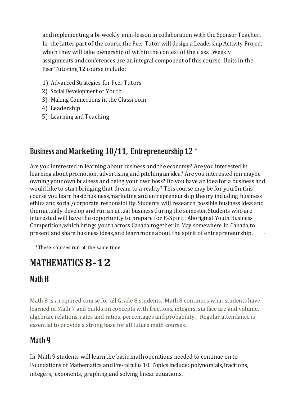andimplementing a bi-weekly mini-lesson in collaboration with the Sponsor Teacher. In the latter.part of the course,the Peer Tutor will design a Leadership Activity Project which they will take ownership of within the context of the class. Weekly assignments andconferences are anintegral component of this course. Units in the Peer Tutoring 12 course include:

- 1) Advanced Strategies for Peer Tutors
- 2) Social Development of Youth
- 3) Making Connections in the Classroom
- 4) Leadership
- 5) Learning and Teaching

## **Business and Marketing 10/11, Entrepreneurship 12 \***

Are you interested in learning about business and the economy? Are you interested in learning about promotion, advertising, and pitching an idea? Are you interested inn maybe owning your own business and being your ownboss? Do you have an ideafor a business and would like to start bringingthat dream to a reality? This course maybe for you.In this course you learn basic business,marketing andentrepreneurship theory including business ethics andsocial/corporate responsibility. Students will research possible business ideasand then actually develop and run an actual business during the semester. Students who are interested will have the opportunity to prepare for E-Spirit: Aboriginal Youth Business Competition,which brings youth across Canada together in May somewhere in Canada,to present and share business ideas,and learnmore about the spirit of entrepreneurship. ·

\*These courses run at the same time

# **MATHEMATICS 8-12**

## **Math 8**

Math 8 is a required course for all Grade 8 students. Math 8 continues what students have learned in Math 7 and builds on concepts with fractions, integers, surface are and volume, algebraic relations, rates and ratios, percentages and probability. Regular attendance is essential to provide a strong base for all future math courses.

## **Math 9**

In Math 9 students will learnthe basic math operations needed to continue on to Foundations of Mathematics and Pre-calculus 10. Topics include: polynomials,fractions, integers, exponents, graphing,and solving linear equations.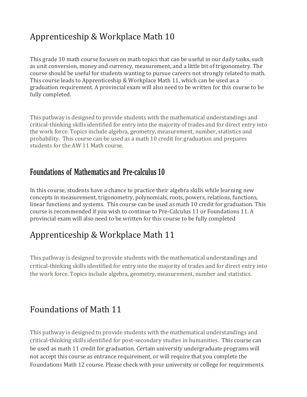## Apprenticeship & Workplace Math 10

This grade 10 math course focuses on math topics that can be useful in our daily tasks, such as unit conversion, money and currency, measurement, and a little bit of trigonometry. The course should be useful for students wanting to pursue careers not strongly related to math. This course leads to Apprenticeship & Workplace Math 11, which can be used as a graduation requirement. A provincial exam will also need to be written for this course to be fully completed.

This pathway is designed to provide students with the mathematical understandings and critical-thinking skills identified for entry into the majority of trades and for direct entry into the work force. Topics include algebra, geometry, measurement, number, statistics and probability. This course can be used as a math 10 credit for graduation and prepares students for the AW 11 Math course.

#### **Foundations of Mathematics and Pre-calculus 10·**

In this course, students have a chance to practice their algebra skills while learning new concepts in measurement, trigonometry, polynomials, roots, powers, relations, functions, linear functions and systems. This course can be used as math 10 credit for graduation. This course is recommended if you wish to continue to Pre-Calculus 11 or Foundations 11. A provincial exam will also need to be written for this course to be fully completed

## Apprenticeship & Workplace Math 11

This pathway is designed to provide students with the mathematical understandings and critical-thinking skills identified for entry into the majority of trades and for direct entry into the work force. Topics include algebra, geometry, measurement, number and statistics.

#### Foundations of Math 11

This pathway is designed to provide students with the mathematical understandings and critical-thinking skills identified for post-secondary studies in humanities. This course can be used as math 11 credit for graduation. Certain university undergraduate programs will not accept this course as entrance requirement, or will require that you complete the Foundations Math 12 course. Please check with your university or college for requirements.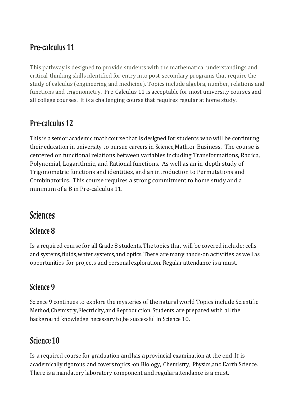## **Pre-calculus 11**

This pathway is designed to provide students with the mathematical understandings and critical-thinking skills identified for entry into post-secondary programs that require the study of calculus (engineering and medicine). Topics include algebra, number, relations and functions and trigonometry. Pre-Calculus 11 is acceptable for most university courses and all college courses. It is a challenging course that requires regular at home study.

#### **Pre-calculus12**

This is a senior, academic, math course that is designed for students who will be continuing their education in university to pursue careers in Science,Math,or Business. The course is centered on functional relations between variables including Transformations, Radica, Polynomial, Logarithmic, and Rational functions. As well as an in-depth study of Trigonometric functions and identities, and an introduction to Permutations and Combinatorics. This course requires a strong commitment to home study and a minimum of a B in Pre-calculus 11.

## **Sciences**

#### **Science 8**

Is a required course for all Grade 8 students.The topics that will be covered include: cells and systems,fluids,water systems,and optics. There are manyhands-on activities aswellas opportunities for projects and personalexploration. Regular attendance is a must.

#### **Science 9**

Science 9 continues to explore the mysteries of the natural world Topics include Scientific Method,Chemistry,Electricity,and Reproduction. Students are prepared with all the background knowledge necessary to be successful in Science 10.

## **Science10**

Is a required course for graduation andhas a provincial examination at the end.It is academically rigorous and covers topics on Biology, Chemistry, Physics, and Earth Science. There is a mandatory laboratory component and regular attendance is a must.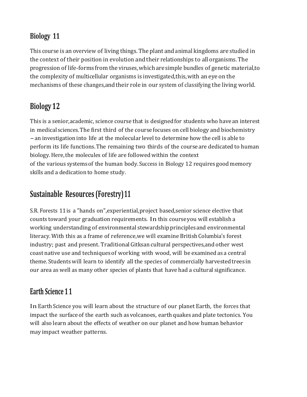#### **Biology 11**

This course is an overview of living things.The plant andanimal kingdoms are studied in the context of their position in evolution and their relationships to all organisms. The progression of life-forms from the viruses, which are simple bundles of genetic material, to the complexity of multicellular organisms is investigated,this,with aneyeon the mechanisms of these changes, and their role in our system of classifying the living world.

## **Biology12**

This is a senior, academic, science course that is designed for students who have an interest in medical sciences.The first third of the course focuses on cell biology and biochemistry -an investigation into life at the molecular level to determine how the cell is able to perform its life functions.The remaining two thirds of the courseare dedicated to human biology.Here,the molecules of life are followed within the context of the various systemsof the human body.Success in Biology 12 requires good memory skills and a dedication to home study.

## **Sustainable Resources (Forestry)11**

S.R. Forests 11is a "hands on",experiential,project based,senior science elective that counts toward your graduation requirements. In this courseyou will establish a working understanding of environmental stewardshipprinciplesand environmental literacy. With this as a frame of reference,we will examine British Columbia's forest industry; past and present. Traditional Gitksan cultural perspectives,and other west coast native use and techniques of working with wood, will be examined as a central theme. Students will learn to identify all the species of commercially harvestedtrees in our area as well as many other species of plants that have had a cultural significance.

## **Earth Science 1 1**

In Earth Science you will learn about the structure of our planet Earth, the forces that impact the surfaceof the earth such as volcanoes, earth quakes and plate tectonics. You will also learn about the effects of weather on our planet and how human behavior may impact weather patterns.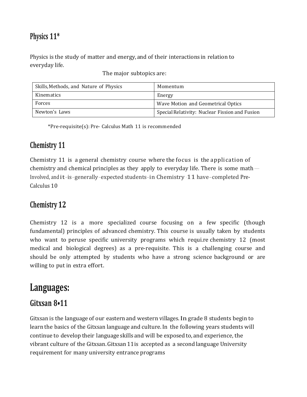#### **Physics 11\***

Physics is the study of matter and energy,and of their interactions in relation to everyday life.

The major subtopics are:

| Skills, Methods, and Nature of Physics | Momentum                                       |
|----------------------------------------|------------------------------------------------|
| Kinematics                             | Energy                                         |
| Forces                                 | Wave Motion and Geometrical Optics             |
| Newton's Laws                          | Special Relativity: Nuclear Fission and Fusion |

\*Pre-requisite(s): Pre- Calculus Math 11 is recommended

#### **Chemistry 11**

Chemistry 11 is a general chemistry course where the focus is the application of chemistry and chemical principles as they apply to everyday life. There is some math $-$ Involved, andit-is-generally-expected students-in Chemistry -11 have-completed Pre-Calculus 10

#### **Chemistry 12**

Chemistry 12 is a more specialized course focusing on a few specific (though fundamental) principles of advanced chemistry. This course is usually taken by students who want to peruse specific university programs which require chemistry 12 (most medical and biological degrees) as a pre-requisite. This is a challenging course and should be only attempted by students who have a strong science background or are willing to put in extra effort.

## **Languages:**

#### **Gitxsan 8•11**

Gitxsan is the language of our eastern and western villages.In grade 8 students begin to learn the basics of the Gitxsan language and culture.In the following years students will continue to develop their language skills and will be exposedto, and experience, the vibrant culture of the Gitxsan.Gitxsan 11is accepted as a secondlanguage University requirement for many university entrance programs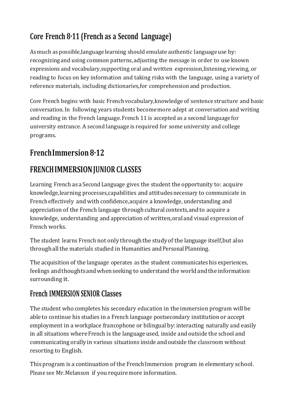## **Core French 8·11 (French as a Second Language)**

Asmuch as possible,languagelearning should emulate authentic language use by: recognizing and using common patterns,adjusting the message in order to use known expressions and vocabulary,supporting oral and written expression,listening,viewing, or reading to focus on key information and taking risks with the language, using a variety of reference materials, including dictionaries,for comprehension and production.

Core French begins with basic Frenchvocabulary,knowledge of sentence structure and basic conversation.In following years students becomemore adept at conversation and writing and reading in the French language.French 11 is accepted as a second language for university entrance. A second language is required for some university and college programs.

## **FrenchImmersion8·12**

## **FRENCHIMMERSIONJUNIOR CLASSES**

Learning French as a Second Language gives the student the opportunity to: acquire knowledge,learning processes,capabilities and attitudesnecessary to communicate in French effectively and with confidence,acquire a knowledge, understanding and appreciation of the French language through cultural contexts, and to acquire a knowledge, understanding andappreciation of written,oral and visual expression of French works.

The student learns French not only throughthe studyof the language itself,but also through all the materials studied in Humanities and Personal Planning.

The acquisition of the language operates as the student communicateshis experiences, feelings and thoughts and when seeking to understand the world and the information surrounding it.

#### **French IMMERSION SENIOR Classes**

The student who completes his secondary education in the immersion program will be ableto continue his studies in a French language postsecondary institutionor accept employment in a workplace francophone or bilingual by: interacting naturally and easily in all situations where French is the language used, inside and outside the school and communicating orally in various situations inside andoutside the classroom without resorting to English.

This program is a continuation of the French Immersion program in elementary school. Please see Mr.Melanson if you requiremore information.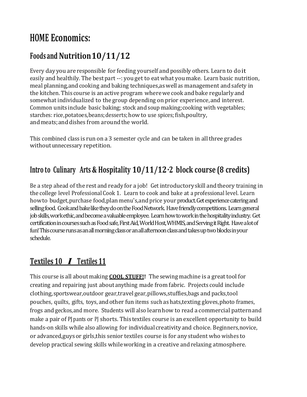# **HOME Economics:**

## **Foods and Nutrition10/11/12**

Every day you are responsible for feeding yourself and possibly others. Learn to do it easily and healthily. The bestpart --: you get to eat what you make. Learn basic nutrition, meal planning, and cooking and baking techniques, as well as management and safety in the kitchen. This course is an active program wherewe cook andbake regularly and somewhat individualized to the group depending on prior experience,and interest. Common units include basic baking; stock and soup making;cooking with vegetables; starches: rice, potatoes, beans; desserts; how to use spices; fish, poultry, and meats;and dishes from aroundthe world.

This combined class is run on a 3 semester cycle and can be taken in all three grades withoutunnecessary repetition.

## **Intro to Culinary Arts & Hospitality 10/11/12·2 block course (8 credits)**

Be a step ahead of the rest and readyfor a job! Get introductoryskill andtheory training in the college level Professional Cook 1. Learn to cook and bake at a professional level. Learn howto budget,purchase food,plan menu's,and price your product. Get experience catering and selling food. Cook and bake like they do on the Food Network. Have friendly competitions. Learn general job skills, work ethic, and become a valuable employee. Learn how to work in the hospitality industry. Get certification in courses such as Food safe, First Aid, World Host, WHMIS, and Serving it Right. Have a lot of fun! This course runs as an all morning class or an all afternoon class and takes up two blocks in your schedule.

#### **Textiles <sup>10</sup>***I* **Textiles <sup>11</sup>**

This course is all aboutmaking **COOL STUFF!!** The sewing·machine is a greattool for creating and repairing just about anything made from fabric. Projects could include clothing,sportswear,outdoor gear,travelgear,pillows,stuffies,bags and packs,tool pouches, quilts, gifts, toys, andother fun items such ashats,texting gloves,photo frames, frogs and geckos,and more. Students will also learnhow to read a commercial patternand make a pair of PJ pants or PJ shorts. This textiles course is an excellent opportunity to build hands-on skills while also allowing for individual creativity and choice. Beginners,novice, or advanced,guysor girls,this senior textiles course is for any student who wishes to develop practical sewing skills whileworking in a creative and relaxing atmosphere.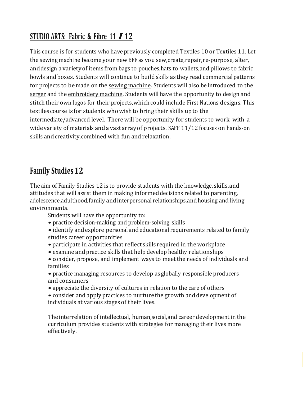## **STUDIO ARTS: Fabric & Fibre <sup>11</sup>** *I* **<sup>12</sup>**

This course is for students who have previously completed Textiles 10 or Textiles 11. Let the sewing machine become your newBFF as you sew,create,repair,re-purpose, alter, anddesign a varietyof items from bags to pouches,hats to wallets,and pillows to fabric bowls andboxes. Students will continue to build skills as they read commercialpatterns for projects to be made on the sewing machine. Students will also be introduced to the serger and the embroidery machine. Students will have the opportunity to design and stitch their own logos for their projects, which could include First Nations designs. This textiles course is for students who wishto bring their skills upto the intermediate/advanced level. Therewill be opportunity for students to work with a wide variety of materials anda vast arrayof projects. SAFF 11/12 focuses on hands-on skills and creativity, combined with fun and relaxation.

#### **Family Studies12**

The aim of Family Studies 12 is to provide students with the knowledge, skills,and attitudes that will assist them in making informed decisions related to parenting, adolescence, adulthood, family and interpersonal relationships, and housing and living environments.

Students will have the opportunity to:

- practice decision-making and problem-solving skills
- identify and explore personal and educational requirements related to family studies career opportunities
- participate in activities that reflect skills required in the workplace
- examine and practice skills that help develop healthy relationships
- consider,·propose, and implement ways to meetthe needs of individuals and families

• practice managing resources to develop as globally responsible producers and consumers

- appreciate the diversity of cultures in relation to the care of others
- consider and apply practices to nurture the growth and development of individuals at various stages of their lives.

Theinterrelation of intellectual, human,social,and career development in the curriculum provides students with strategies for managing their lives more effectively.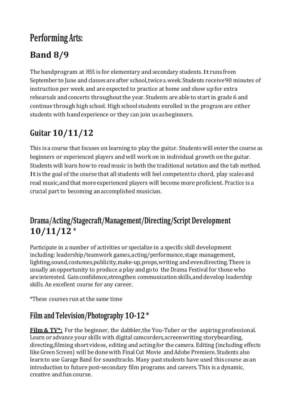# **Performing Arts:**

# **Band 8/9**

The bandprogram at HSS is for elementary and secondary students. It runs from September.to June and classes are after school, twice a.week. Students receive 90 minutes of instruction per week, and are expected to practice at home and show up for extra rehearsals and concerts throughout the year. Students are able to start in grade 6 and continue through high school. High school students enrolled in the program are either students with bandexperience or they can join us asbeginners.

# **Guitar 10/11/12**

This is a course that focuses on learning to play the guitar. Students will enter the course as beginners or experienced players andwill work on in individual growth on the guitar. Studentswill learn howto read music in both the traditional notation and the tab method. Itis the goal of the course that all students will feel competentto chord, play scales and read music,andthat moreexperienced players will become moreproficient. Practice is a crucial part to becoming anaccomplished musician.

## **Drama/Acting/Stagecraft/Management/Directing/Script Development 10/11/12** \*

Participate in a number of activities or specialize in a specific skill development including: leadership/teamwork games,acting/performance,stage management, lighting, sound, costumes, publicity, make-up, props, writing and even directing. There is usually anopportunity to produce a play andgoto the Drama Festival for thosewho are interested. Gain confidence, strengthen communication skills, and develop leadership skills. An excellent course for any career.

\*These courses run at the same time

## **Film and Television/Photography 1O-12**\*

**Film & TV<sup>\*</sup>:** For the beginner, the dabbler, the You-Tuber or the aspiring professional. Learn or advance your skills with digital camcorders, screenwriting storyboarding, directing,filming short videos, editing and actingfor the camera. Editing (including effects like Green Screen) will be done with Final Cut Movie and Adobe Premiere. Students also learnto use Garage Band for soundtracks. Many past students have used this course as an introduction to future post-secondary film programs and careers. This is a dynamic, creative and fun course.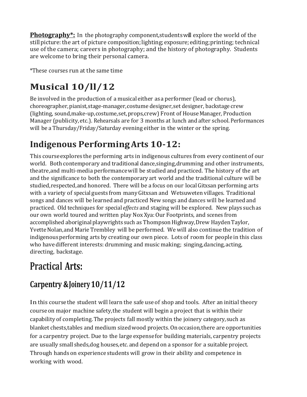**Photography\*:** In the photography component,studentswill explore the world of the still picture: the art of picture composition; lighting; exposure; editing; printing; technical use of the camera; careers in photography; and the history of photography. Students are welcome to bring their personal camera.

\*These courses run at the same time

# **Musical 10/ll/12**

Be involved in the production of a musical either asa performer (lead or chorus), choreographer,pianist,stage-manager,costume designer,set designer, backstage crew (lighting, sound,make-up,costume,set,props,crew) Front of HouseManager, Production Manager (publicity,etc.). Rehearsals are for 3 months at lunch and after school.Performances will be a Thursday/Friday/Saturday evening either in the winter or the spring.

# **Indigenous PerformingArts 10-12:**

This course explores the performing arts in indigenous cultures from every continent of our world. Both contemporary and traditional dance,singing,drumming and other instruments, theatre,and multi-media performancewill be studied and practiced. The history of the art and the significance to both the contemporary art world and the traditional culture will be studied,respected,and honored. There will be a focus on our localGitxsan performing arts with a variety of special guests from manyGitxsan and Wetsuweten villages. Traditional songs and dances will be learned and practiced New songs and dances will be learned and practiced. Old techniques for special *effects* and staging will be explored. New plays suchas our own world toured and written play Nox Xya:Our Footprints, and scenes from accomplished aboriginal playwrights such as Thompson Highway, Drew Hayden Taylor, Yvette Nolan, and Marie Trembley will be performed. We will also continue the tradition of indigenousperforming arts by creating our own piece. Lots of room for people in this class who have different interests: drumming and music making; singing, dancing, acting, directing, backstage.

# **Practical Arts:**

# **Carpentry &Joinery10/11/12**

In this coursethe student will learn the safe use of shop and tools. After an initial theory courseon major machine safety,the student will begin a project that is within their capability of completing.The projects fall mostly within the joinery category,such as blanket chests,tables and medium sizedwood projects.On occasion,there are opportunities for a carpentry project. Due to the large expensefor building materials, carpentry projects are usually small sheds,dog houses,etc.and depend on a sponsor for a suitable project. Through handson experience students will grow in their ability and competence in working with wood.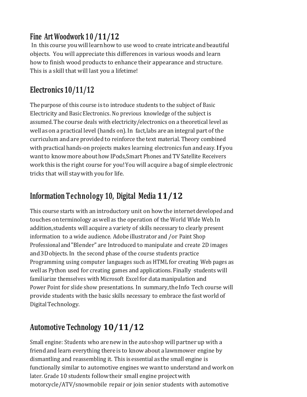## **Fine Art Woodwork 1 0/11/12**

In this course youwill learnhowto use wood to create intricate andbeautiful objects. You will appreciate this differences in various woods and learn how to finish wood products to enhance their appearance and structure. This is a skill that will last you a lifetime!

## **Electronics 10/11/12**

Thepurpose of this course is to introduce students to the subject of Basic Electricity and Basic Electronics. No previous knowledge of the subject is assumed.The course deals with electricity/electronics on a theoretical level as well ason a practical level (hands on).In fact,labs are an integral part of the curriculum and are provided to reinforce the text material. Theory combined with practical hands-on projects makes learning electronics fun andeasy.If you want to know more about how IPods, Smart Phones and TV Satellite Receivers work this is the right course for you!You will acquire a bag of simple electronic tricks that will staywith you for life.

## **Information Technology 10, Digital Media 11/12**

This course starts with anintroductory unit on howthe internet developed and touches on terminology aswell as the operation of the World Wide Web.In addition,students will acquire a variety of skills necessary to clearly present information to a wide audience. Adobe illustrator and /or Paint Shop Professional and"Blender" are Introduced to manipulate and create 2D images and3Dobjects.In the second phase of the course students practice Programming using computer languages such as HTML for creating Web pages as well as Python used for creating games and applications. Finally · students will familiarize themselves with Microsoft Excelfor datamanipulation and Power Point for slide show presentations. In summary,the Info Tech course will provide students with the basic skills necessary to embrace the fast world of Digital Technology.

## **Automotive Technology 10/11/12**

Small engine: Students who arenewin the auto shop will partner up with a friend and learn everything there is to know about a lawnmower engine by dismantling and reassembling it. This isessential as the small engine is functionally similar to automotive engines we wantto understand and workon later. Grade 10 students follow their small engine project with motorcycle/ATV/snowmobile repair or join senior students with automotive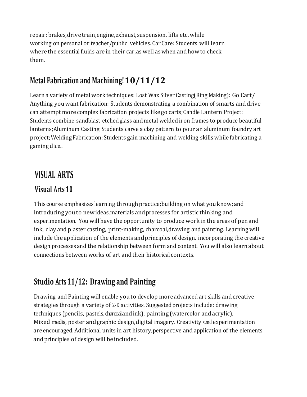repair: brakes,drive train,engine,exhaust,suspension, lifts etc.while working onpersonal or teacher/public vehicles. Car Care: Students will learn wherethe essential fluids are in their car,aswell aswhen andhowto check them.

## **Metal Fabrication and Machining!10/11/12**

Learn a variety of metal work techniques: Lost Wax Silver Casting(Ring Making): Go Cart/ Anything you want fabrication: Students demonstrating a combination of smarts anddrive can attempt more complex fabrication projects like go carts;Candle Lantern Project: Students combine sandblast-etchedglass andmetal welded iron frames to produce beautiful lanterns;Aluminum Casting: Students carve a clay pattern to pour an aluminum foundry art project;WeldingFabrication: Students gain machining and welding skills while fabricating a gaming dice..

## **VISUAL ARTS**

#### **Visual Arts 10**

This course emphasizes learning through practice; building on what you know; and introducing you to newideas,materials and processes for artistic thinking and experimentation. You will have the opportunity to produce work in the areas of penand ink, clay and plaster casting, print-making, charcoal,drawing and painting. Learningwill include the application of the elements andprinciples of design, incorporating the creative design processes and the relationship between form and content. You will also learnabout connections between works of art and their historical contexts.

#### **Studio Arts11/12: Drawing and Painting**

Drawing and Painting will enable you to develop moreadvanced art skills andcreative strategies through a variety of 2-D activities. Suggested projects include: drawing techniques (pencils, pastels, charcoaland ink), painting (watercolor and acrylic), Mixed media, poster and graphic design,digitalimagery. Creativity <.md experimentation are encouraged. Additional units in art history,perspective andapplication of the elements andprinciples of design will beincluded.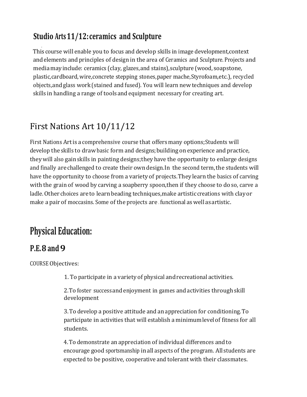## **Studio Arts11/12:ceramics and Sculpture**

 This course will enable you to focus and develop skills in image development,context andelements and principles of design in the area of Ceramics and Sculpture. Projects and mediamayinclude: ceramics (clay, glazes,and stains),sculpture (wood, soapstone, plastic,cardboard, wire,concrete stepping stones,paper mache,Styrofoam,etc.), recycled objects,andglass work(stained andfused). You will learn newtechniques and develop skills in handling a range of toolsandequipment necessary for creating art.

## First Nations Art 10/11/12

First Nations Art is a comprehensive course that offers many options; Students will develop the skills to draw basic form and designs; building on experience and practice, theywill also gainskills in painting designs;they have the opportunity to enlarge designs and finally are challenged to create their own design.In the second term,the students will have the opportunity to choose from a varietyof projects.They learnthe basics of carving with the grain of wood by carving a soapberry spoon,then if they choose to do so, carve a ladle.Other choices areto learnbeading techniques,make artisticcreations with clayor make a pair of moccasins. Some of the projects are functional as well as artistic.

# **Physical Education:**

#### **P.E.8 and 9**

COURSE Objectives:

1. To participate in a varietyof physical andrecreational activities.

2.To foster successandenjoyment in games andactivities through skill development

3.To develop a positive attitude and an appreciation for conditioning.To participate in activities that will establish a minimumlevelof fitness for all students.

4.To demonstrate an appreciation of individual differences andto encourage good sportsmanship inall aspects of the program. All students are expected to be positive, cooperative and tolerantwith their classmates.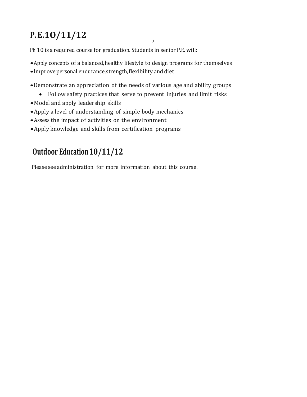# **P.E.1O/11/12** *)*

PE 10 is a required course for graduation. Students in senior P.E. will:

•Apply concepts of a balanced, healthy lifestyle to design programs for themselves

- •Improvepersonal endurance,strength,flexibility and diet
- •Demonstrate an appreciation of the needs of various age and ability groups
	- Follow safety practices that serve to prevent injuries and limit risks
- •Model and apply leadership skills
- •Apply <sup>a</sup> level of understanding of simple body mechanics
- •Assess the impact of activities on the environment
- •Apply knowledge and skills from certification programs

## **Outdoor Education10/11/12**

Please see administration for more information about this course.